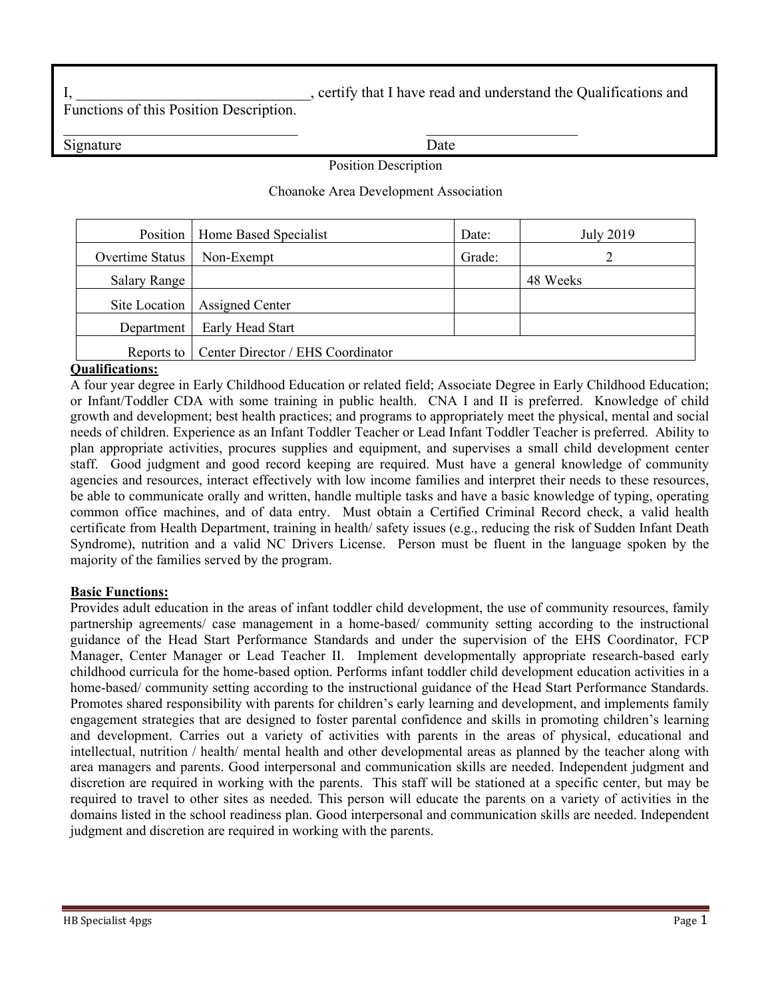I, certify that I have read and understand the Qualifications and

Functions of this Position Description.

Signature Date

Position Description

#### Choanoke Area Development Association

|                     | Position   Home Based Specialist               | Date:  | July 2019 |
|---------------------|------------------------------------------------|--------|-----------|
| Overtime Status     | Non-Exempt                                     | Grade: |           |
| <b>Salary Range</b> |                                                |        | 48 Weeks  |
|                     | Site Location   Assigned Center                |        |           |
| Department          | Early Head Start                               |        |           |
|                     | Reports to   Center Director / EHS Coordinator |        |           |

#### **Qualifications:**

A four year degree in Early Childhood Education or related field; Associate Degree in Early Childhood Education; or Infant/Toddler CDA with some training in public health. CNA I and II is preferred. Knowledge of child growth and development; best health practices; and programs to appropriately meet the physical, mental and social needs of children. Experience as an Infant Toddler Teacher or Lead Infant Toddler Teacher is preferred. Ability to plan appropriate activities, procures supplies and equipment, and supervises a small child development center staff. Good judgment and good record keeping are required. Must have a general knowledge of community agencies and resources, interact effectively with low income families and interpret their needs to these resources, be able to communicate orally and written, handle multiple tasks and have a basic knowledge of typing, operating common office machines, and of data entry. Must obtain a Certified Criminal Record check, a valid health certificate from Health Department, training in health/ safety issues (e.g., reducing the risk of Sudden Infant Death Syndrome), nutrition and a valid NC Drivers License. Person must be fluent in the language spoken by the majority of the families served by the program.

### **Basic Functions:**

Provides adult education in the areas of infant toddler child development, the use of community resources, family partnership agreements/ case management in a home-based/ community setting according to the instructional guidance of the Head Start Performance Standards and under the supervision of the EHS Coordinator, FCP Manager, Center Manager or Lead Teacher II. Implement developmentally appropriate research-based early childhood curricula for the home-based option. Performs infant toddler child development education activities in a home-based/ community setting according to the instructional guidance of the Head Start Performance Standards. Promotes shared responsibility with parents for children's early learning and development, and implements family engagement strategies that are designed to foster parental confidence and skills in promoting children's learning and development. Carries out a variety of activities with parents in the areas of physical, educational and intellectual, nutrition / health/ mental health and other developmental areas as planned by the teacher along with area managers and parents. Good interpersonal and communication skills are needed. Independent judgment and discretion are required in working with the parents. This staff will be stationed at a specific center, but may be required to travel to other sites as needed. This person will educate the parents on a variety of activities in the domains listed in the school readiness plan. Good interpersonal and communication skills are needed. Independent judgment and discretion are required in working with the parents.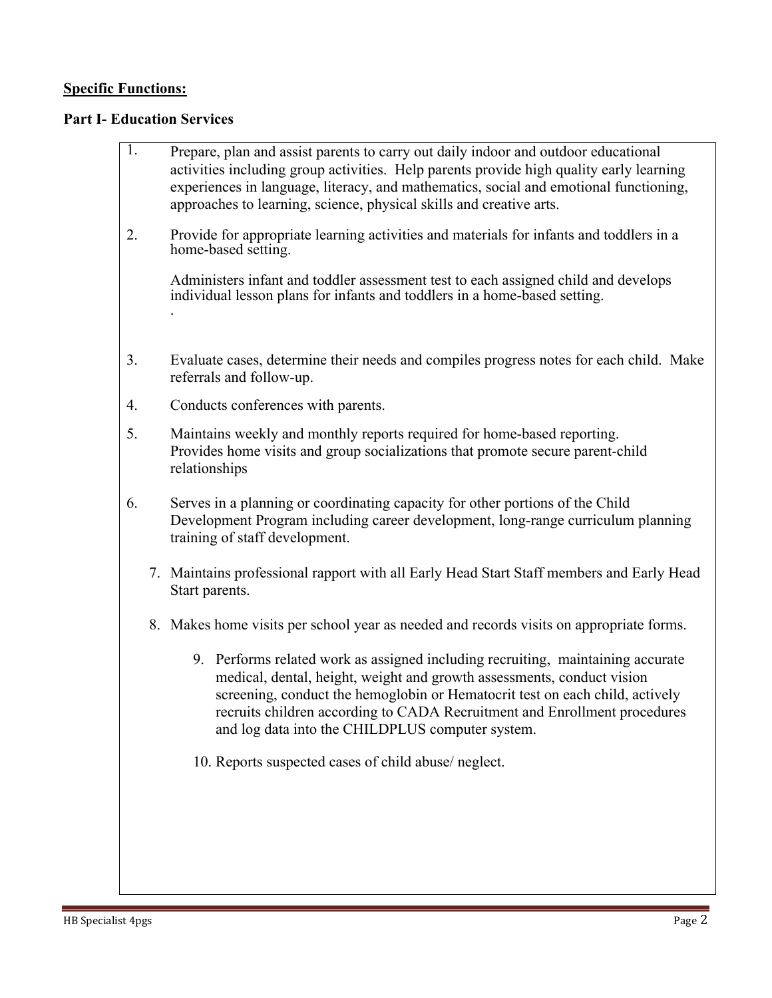# **Specific Functions:**

# **Part I- Education Services**

| $\overline{1}$ . | Prepare, plan and assist parents to carry out daily indoor and outdoor educational<br>activities including group activities. Help parents provide high quality early learning<br>experiences in language, literacy, and mathematics, social and emotional functioning,<br>approaches to learning, science, physical skills and creative arts.                              |
|------------------|----------------------------------------------------------------------------------------------------------------------------------------------------------------------------------------------------------------------------------------------------------------------------------------------------------------------------------------------------------------------------|
| 2.               | Provide for appropriate learning activities and materials for infants and toddlers in a<br>home-based setting.                                                                                                                                                                                                                                                             |
|                  | Administers infant and toddler assessment test to each assigned child and develops<br>individual lesson plans for infants and toddlers in a home-based setting.                                                                                                                                                                                                            |
| 3.               | Evaluate cases, determine their needs and compiles progress notes for each child. Make<br>referrals and follow-up.                                                                                                                                                                                                                                                         |
| 4.               | Conducts conferences with parents.                                                                                                                                                                                                                                                                                                                                         |
| 5.               | Maintains weekly and monthly reports required for home-based reporting.<br>Provides home visits and group socializations that promote secure parent-child<br>relationships                                                                                                                                                                                                 |
| 6.               | Serves in a planning or coordinating capacity for other portions of the Child<br>Development Program including career development, long-range curriculum planning<br>training of staff development.                                                                                                                                                                        |
|                  | 7. Maintains professional rapport with all Early Head Start Staff members and Early Head<br>Start parents.                                                                                                                                                                                                                                                                 |
|                  | 8. Makes home visits per school year as needed and records visits on appropriate forms.                                                                                                                                                                                                                                                                                    |
|                  | 9. Performs related work as assigned including recruiting, maintaining accurate<br>medical, dental, height, weight and growth assessments, conduct vision<br>screening, conduct the hemoglobin or Hematocrit test on each child, actively<br>recruits children according to CADA Recruitment and Enrollment procedures<br>and log data into the CHILDPLUS computer system. |
|                  | 10. Reports suspected cases of child abuse/ neglect.                                                                                                                                                                                                                                                                                                                       |
|                  |                                                                                                                                                                                                                                                                                                                                                                            |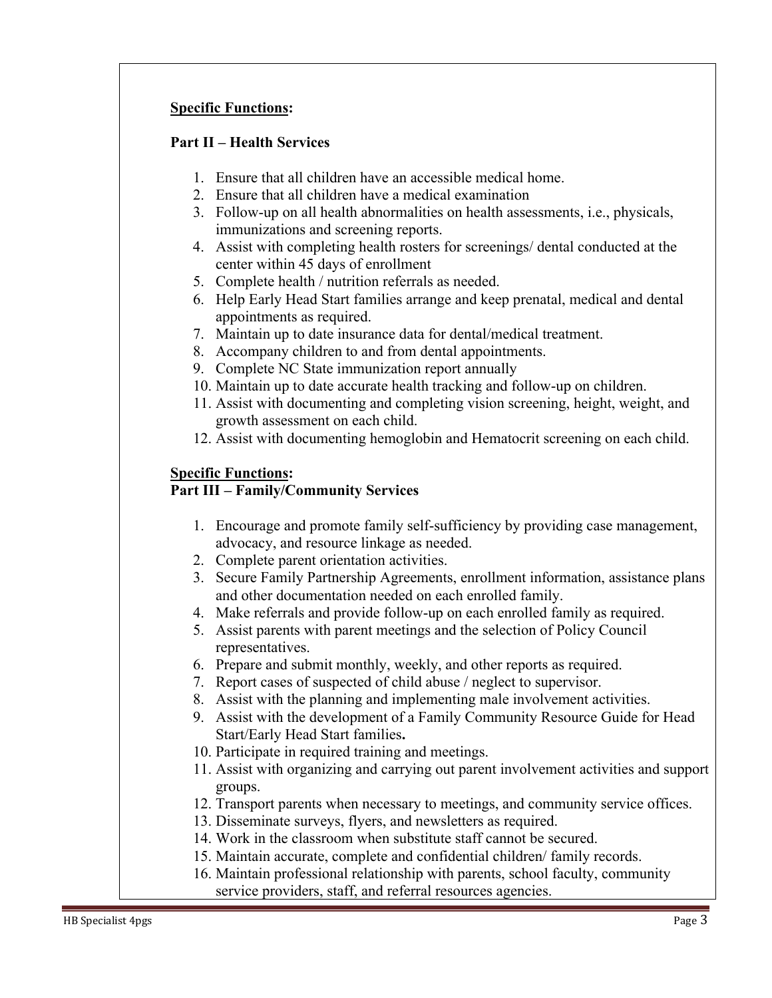# **Specific Functions:**

## **Part II – Health Services**

- 1. Ensure that all children have an accessible medical home.
- 2. Ensure that all children have a medical examination
- 3. Follow-up on all health abnormalities on health assessments, i.e., physicals, immunizations and screening reports.
- 4. Assist with completing health rosters for screenings/ dental conducted at the center within 45 days of enrollment
- 5. Complete health / nutrition referrals as needed.
- 6. Help Early Head Start families arrange and keep prenatal, medical and dental appointments as required.
- 7. Maintain up to date insurance data for dental/medical treatment.
- 8. Accompany children to and from dental appointments.
- 9. Complete NC State immunization report annually
- 10. Maintain up to date accurate health tracking and follow-up on children.
- 11. Assist with documenting and completing vision screening, height, weight, and growth assessment on each child.
- 12. Assist with documenting hemoglobin and Hematocrit screening on each child.

# **Specific Functions:**

## **Part III – Family/Community Services**

- 1. Encourage and promote family self-sufficiency by providing case management, advocacy, and resource linkage as needed.
- 2. Complete parent orientation activities.
- 3. Secure Family Partnership Agreements, enrollment information, assistance plans and other documentation needed on each enrolled family.
- 4. Make referrals and provide follow-up on each enrolled family as required.
- 5. Assist parents with parent meetings and the selection of Policy Council representatives.
- 6. Prepare and submit monthly, weekly, and other reports as required.
- 7. Report cases of suspected of child abuse / neglect to supervisor.
- 8. Assist with the planning and implementing male involvement activities.
- 9. Assist with the development of a Family Community Resource Guide for Head Start/Early Head Start families**.**
- 10. Participate in required training and meetings.
- 11. Assist with organizing and carrying out parent involvement activities and support groups.
- 12. Transport parents when necessary to meetings, and community service offices.
- 13. Disseminate surveys, flyers, and newsletters as required.
- 14. Work in the classroom when substitute staff cannot be secured.
- 15. Maintain accurate, complete and confidential children/ family records.
- 16. Maintain professional relationship with parents, school faculty, community service providers, staff, and referral resources agencies.